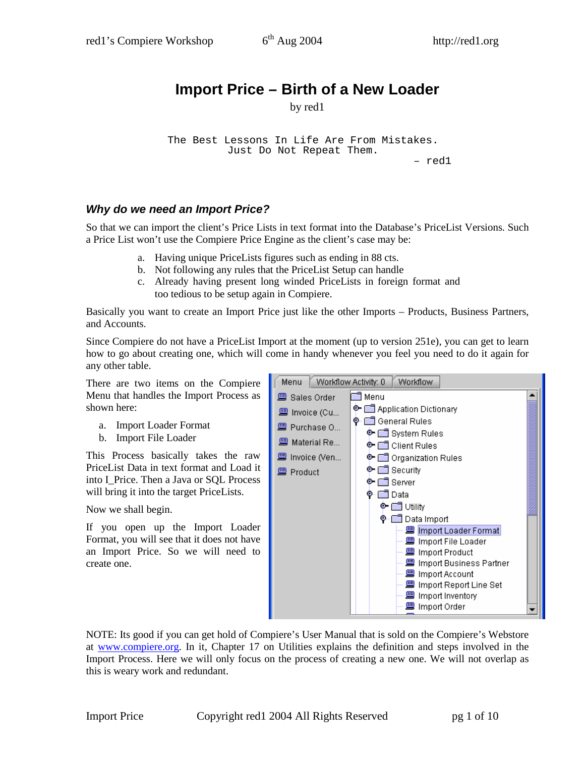## **Import Price – Birth of a New Loader**

by red1

The Best Lessons In Life Are From Mistakes. Just Do Not Repeat Them.

– red1

## **Why do we need an Import Price?**

So that we can import the client's Price Lists in text format into the Database's PriceList Versions. Such a Price List won't use the Compiere Price Engine as the client's case may be:

- a. Having unique PriceLists figures such as ending in 88 cts.
- b. Not following any rules that the PriceList Setup can handle
- c. Already having present long winded PriceLists in foreign format and too tedious to be setup again in Compiere.

Basically you want to create an Import Price just like the other Imports – Products, Business Partners, and Accounts.

Since Compiere do not have a PriceList Import at the moment (up to version 251e), you can get to learn how to go about creating one, which will come in handy whenever you feel you need to do it again for any other table.

There are two items on the Compiere Menu that handles the Import Process as shown here:

- a. Import Loader Format
- b. Import File Loader

This Process basically takes the raw PriceList Data in text format and Load it into I\_Price. Then a Java or SQL Process will bring it into the target PriceLists.

Now we shall begin.

If you open up the Import Loader Format, you will see that it does not have an Import Price. So we will need to create one.



NOTE: Its good if you can get hold of Compiere's User Manual that is sold on the Compiere's Webstore at www.compiere.org. In it, Chapter 17 on Utilities explains the definition and steps involved in the Import Process. Here we will only focus on the process of creating a new one. We will not overlap as this is weary work and redundant.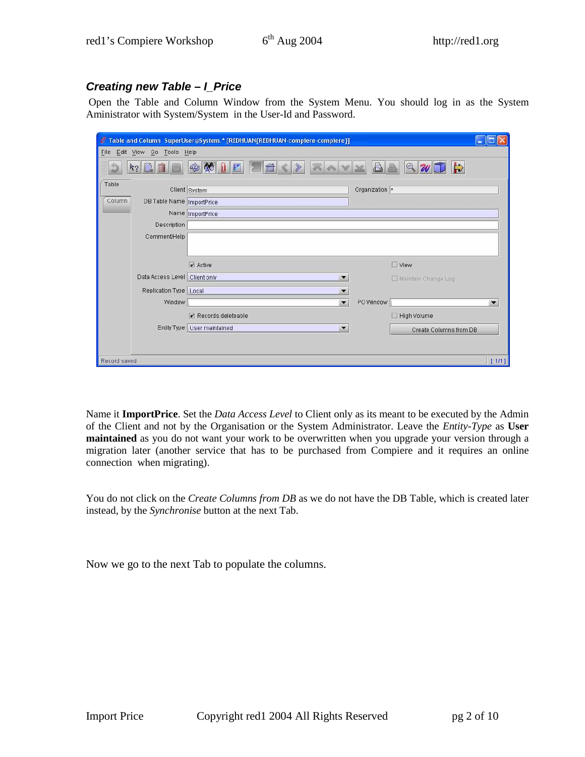## **Creating new Table – I\_Price**

 Open the Table and Column Window from the System Menu. You should log in as the System Aministrator with System/System in the User-Id and Password.

|                              | Table and Column SuperUser@System.* [REDHUAN(REDHUAN-compiere-compiere]] |                          |       |
|------------------------------|--------------------------------------------------------------------------|--------------------------|-------|
| File Edit View Go Tools Help |                                                                          |                          |       |
| 43                           | $ \text{A}$<br>E<br>$\mathbb{Q}$<br>U                                    | $\Rightarrow$<br>$Q$ $W$ |       |
| Table                        | Client System                                                            | Organization *           |       |
| Column                       | DB Table Name   ImportPrice                                              |                          |       |
|                              | Name ImportPrice                                                         |                          |       |
| Description                  |                                                                          |                          |       |
| Comment/Help                 |                                                                          |                          |       |
|                              |                                                                          |                          |       |
|                              | $\triangleright$ Active                                                  | $\Box$ View              |       |
|                              | Data Access Level   Client only                                          | Maintain Change Log      |       |
| Replication Type   Local     |                                                                          |                          |       |
|                              | Window<br>$\overline{\phantom{a}}$                                       | PO Window                | ▼     |
|                              | $\triangleright$ Records deleteable                                      | High Volume              |       |
|                              | Entity Type   User maintained<br>$\overline{\phantom{a}}$                | Create Columns from DB   |       |
|                              |                                                                          |                          |       |
| Record saved                 |                                                                          |                          | [111] |
|                              |                                                                          |                          |       |

Name it **ImportPrice**. Set the *Data Access Level* to Client only as its meant to be executed by the Admin of the Client and not by the Organisation or the System Administrator. Leave the *Entity-Type* as **User maintained** as you do not want your work to be overwritten when you upgrade your version through a migration later (another service that has to be purchased from Compiere and it requires an online connection when migrating).

You do not click on the *Create Columns from DB* as we do not have the DB Table, which is created later instead, by the *Synchronise* button at the next Tab.

Now we go to the next Tab to populate the columns.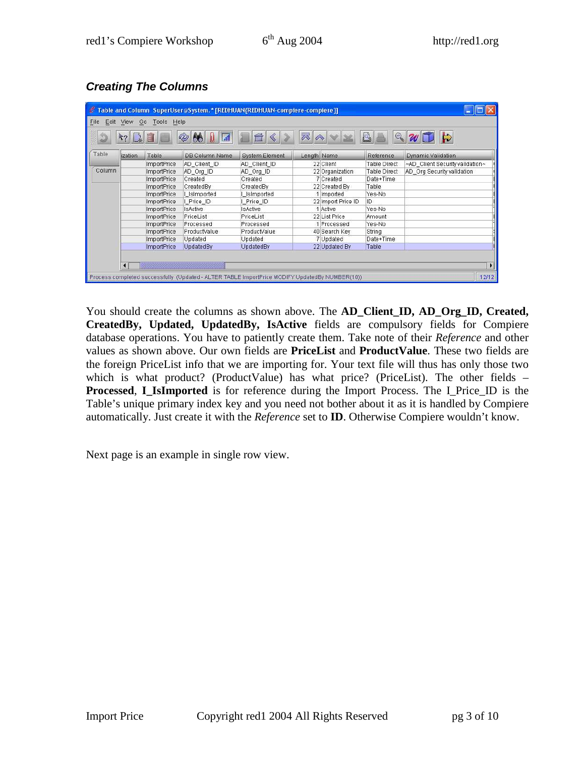|        | Table and Column_SuperUser@System.* [REDHUAN{REDHUAN-compiere-compiere}] |             |                                                                                                 |                       |             |                    |                     |                                 |  |  |  |  |
|--------|--------------------------------------------------------------------------|-------------|-------------------------------------------------------------------------------------------------|-----------------------|-------------|--------------------|---------------------|---------------------------------|--|--|--|--|
| File.  | Edit View<br>Tools Help<br>Go.                                           |             |                                                                                                 |                       |             |                    |                     |                                 |  |  |  |  |
|        |                                                                          |             | $\bullet$<br>$\infty$                                                                           |                       | 云           |                    | A<br>Q              | $\Rightarrow$                   |  |  |  |  |
| Table  | ization                                                                  | Table       | <b>DB Column Name</b>                                                                           | <b>System Element</b> | Length Name |                    | Reference           | Dynamic Validation              |  |  |  |  |
|        |                                                                          | ImportPrice | AD Client ID                                                                                    | AD Client ID          |             | 22 Client          | Table Direct        | ~AD Client Security validation~ |  |  |  |  |
| Column |                                                                          | ImportPrice | AD Org ID                                                                                       | AD Org ID             |             | 22 Organization    | <b>Table Direct</b> | AD Org Security validation      |  |  |  |  |
|        |                                                                          | ImportPrice | Created                                                                                         | Created               |             | 7 Created          | Date+Time           |                                 |  |  |  |  |
|        |                                                                          | ImportPrice | CreatedBy                                                                                       | CreatedBy             |             | 22 Created By      | Table               |                                 |  |  |  |  |
|        |                                                                          | ImportPrice | I Islmported                                                                                    | I Islmported          |             | 1 Imported         | Yes-No              |                                 |  |  |  |  |
|        |                                                                          | ImportPrice | I Price ID                                                                                      | I Price ID            |             | 22 Import Price ID | ID                  |                                 |  |  |  |  |
|        |                                                                          | ImportPrice | <b>IsActive</b>                                                                                 | <b>IsActive</b>       |             | 1 Active           | Yes-No              |                                 |  |  |  |  |
|        |                                                                          | ImportPrice | PriceList                                                                                       | PriceList             |             | 22 List Price      | Amount              |                                 |  |  |  |  |
|        |                                                                          | ImportPrice | Processed                                                                                       | Processed             |             | 1 Processed        | Yes-No              |                                 |  |  |  |  |
|        |                                                                          | ImportPrice | ProductValue                                                                                    | ProductValue          |             | 40 Search Key      | String              |                                 |  |  |  |  |
|        |                                                                          | ImportPrice | Updated                                                                                         | Updated               |             | 7 Updated          | Date+Time           |                                 |  |  |  |  |
|        |                                                                          | ImportPrice | UpdatedBy                                                                                       | UpdatedBy             |             | 22 Updated By      | Table               |                                 |  |  |  |  |
|        |                                                                          |             |                                                                                                 |                       |             |                    |                     |                                 |  |  |  |  |
|        |                                                                          |             |                                                                                                 |                       |             |                    |                     | $\blacktriangleright$           |  |  |  |  |
|        | $\blacktriangleleft$                                                     |             |                                                                                                 |                       |             |                    |                     |                                 |  |  |  |  |
|        |                                                                          |             | Process completed successfully, (Updated - ALTER TABLE ImportPrice MODIFY UpdatedBy NUMBER(10)) |                       |             |                    |                     | 12/12                           |  |  |  |  |

**Creating The Columns** 

You should create the columns as shown above. The **AD\_Client\_ID, AD\_Org\_ID, Created, CreatedBy, Updated, UpdatedBy, IsActive** fields are compulsory fields for Compiere database operations. You have to patiently create them. Take note of their *Reference* and other values as shown above. Our own fields are **PriceList** and **ProductValue**. These two fields are the foreign PriceList info that we are importing for. Your text file will thus has only those two which is what product? (ProductValue) has what price? (PriceList). The other fields – **Processed, I\_IsImported** is for reference during the Import Process. The I\_Price\_ID is the Table's unique primary index key and you need not bother about it as it is handled by Compiere automatically. Just create it with the *Reference* set to **ID**. Otherwise Compiere wouldn't know.

Next page is an example in single row view.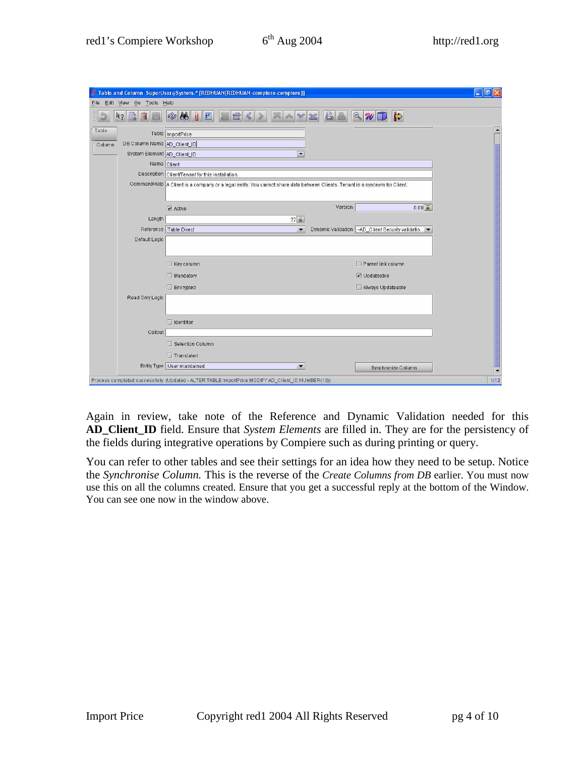| Edit View Go Tools Help<br>File | Table and Column SuperUser@System.* [REDHUAN{REDHUAN-compiere-compiere}] |                                                                                                                                | la                    |
|---------------------------------|--------------------------------------------------------------------------|--------------------------------------------------------------------------------------------------------------------------------|-----------------------|
|                                 | 86<br>Q                                                                  | $R_{2}$<br>$\frac{1}{2}$<br>$\mathbb V$                                                                                        |                       |
| Table                           | Table ImportPrice<br>DB Column Name AD Client ID                         |                                                                                                                                |                       |
| Column                          | System Element AD Client ID                                              | $\mathbf{x}$                                                                                                                   |                       |
|                                 | Name Client                                                              |                                                                                                                                |                       |
|                                 | Description Client/Tenant for this installation.                         |                                                                                                                                |                       |
|                                 |                                                                          | Comment/Help   A Client is a company or a legal entity. You cannot share data between Clients. Tenant is a synonym for Client. |                       |
|                                 | $\nu$ Active                                                             | Version                                                                                                                        | $0.00$ $\frac{1}{44}$ |
| Length                          |                                                                          | $22$ $\overline{M}$                                                                                                            |                       |
|                                 | Reference Table Direct                                                   | Dynamic Validation   ~AD_Client Security validatio<br>$\overline{\phantom{a}}$                                                 |                       |
| Default Logic                   |                                                                          |                                                                                                                                |                       |
|                                 | $\Box$ Key column                                                        | Parent link column                                                                                                             |                       |
|                                 | Mandatory                                                                | $V$ Updateable                                                                                                                 |                       |
|                                 | $\Box$ Encrypted                                                         | Always Updateable                                                                                                              |                       |
| Read Only Logic                 |                                                                          |                                                                                                                                |                       |
|                                 | $\Box$ Identifier                                                        |                                                                                                                                |                       |
| Callout                         |                                                                          |                                                                                                                                |                       |
|                                 | Selection Column                                                         |                                                                                                                                |                       |
|                                 | $\Box$ Translated                                                        |                                                                                                                                |                       |
|                                 | Entity Type User maintained                                              | $\overline{\phantom{a}}$<br>Synchronize Column                                                                                 |                       |

Again in review, take note of the Reference and Dynamic Validation needed for this **AD\_Client\_ID** field. Ensure that *System Elements* are filled in. They are for the persistency of the fields during integrative operations by Compiere such as during printing or query.

You can refer to other tables and see their settings for an idea how they need to be setup. Notice the *Synchronise Column.* This is the reverse of the *Create Columns from DB* earlier. You must now use this on all the columns created. Ensure that you get a successful reply at the bottom of the Window. You can see one now in the window above.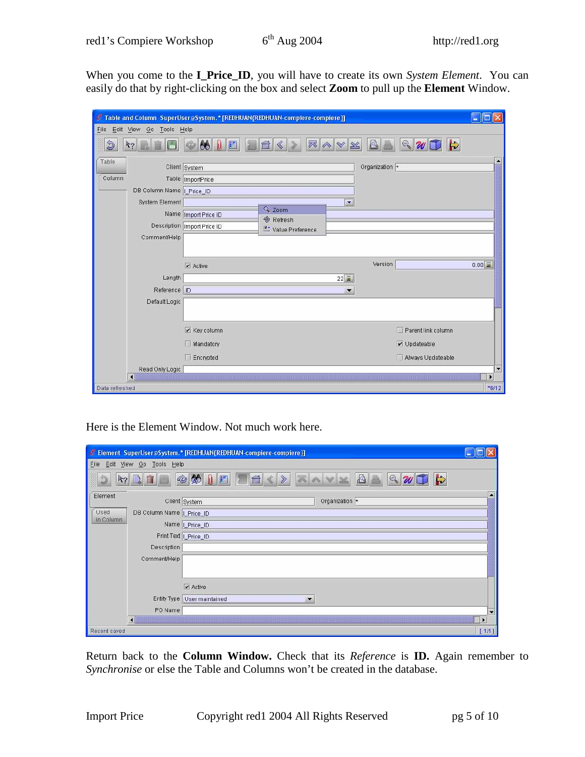When you come to the **I\_Price\_ID**, you will have to create its own *System Element*. You can easily do that by right-clicking on the box and select **Zoom** to pull up the **Element** Window.

|                      |                              |                             | Table and Column SuperUser@System.* [REDHUAN{REDHUAN-compiere-compiere}] |                      |                    | l a<br><b>Let</b>     |
|----------------------|------------------------------|-----------------------------|--------------------------------------------------------------------------|----------------------|--------------------|-----------------------|
|                      | File Edit View Go Tools Help |                             |                                                                          |                      |                    |                       |
| $\hat{\mathfrak{D}}$ | $k_?$                        | $\bigotimes$<br>E<br>U      | 22                                                                       | $^{\otimes}$         | $\sqrt{2}\sqrt{1}$ |                       |
| Table                |                              | Client System               |                                                                          | Organization +       |                    |                       |
| Column               |                              | Table ImportPrice           |                                                                          |                      |                    |                       |
|                      | DB Column Name   Price_ID    |                             |                                                                          |                      |                    |                       |
|                      | System Element               |                             |                                                                          | $\blacktriangledown$ |                    |                       |
|                      |                              | Name Import Price ID        | & Zoom<br><b>&amp;</b> Refresh                                           |                      |                    |                       |
|                      |                              | Description Import Price ID | Value Preference                                                         |                      |                    |                       |
|                      | Comment/Help                 |                             |                                                                          |                      |                    |                       |
|                      |                              |                             |                                                                          |                      |                    |                       |
|                      |                              | $\triangleright$ Active     |                                                                          | Version              |                    | $0.00$ $\overline{M}$ |
|                      | Length                       |                             |                                                                          | $22\overline{2}$     |                    |                       |
|                      | Reference ID                 |                             |                                                                          | ▼                    |                    |                       |
|                      | Default Logic                |                             |                                                                          |                      |                    |                       |
|                      |                              |                             |                                                                          |                      |                    |                       |
|                      |                              |                             |                                                                          |                      |                    |                       |
|                      |                              | $V$ Key column              |                                                                          |                      | Parent link column |                       |
|                      |                              | Mandatory                   |                                                                          |                      | $\nu$ Updateable   |                       |
|                      |                              | $\Box$ Encrypted            |                                                                          |                      | Always Updateable  |                       |
|                      | Read Only Logic              |                             |                                                                          |                      |                    | ×                     |
|                      | H                            |                             |                                                                          |                      |                    | $\blacktriangleright$ |
| Data refreshed       |                              |                             |                                                                          |                      |                    | $*6/12$               |

Here is the Element Window. Not much work here.

|                                 |                           | Element SuperUser@System.* [REDHUAN{REDHUAN-compiere-compiere}]                                            |       |  |  |  |  |  |
|---------------------------------|---------------------------|------------------------------------------------------------------------------------------------------------|-------|--|--|--|--|--|
| Edit View Go Tools Help<br>Eile |                           |                                                                                                            |       |  |  |  |  |  |
| $R_? \R$                        | Ó                         | $\triangleright$<br>$\otimes$ $\otimes$ $\blacksquare$<br>$ {\mathbb Q} $ $\mathcal{U}$ $\square$<br>$\gg$ |       |  |  |  |  |  |
| Element                         | Client System             | Organization *                                                                                             |       |  |  |  |  |  |
| Used<br>in Column               | DB Column Name   Price_ID |                                                                                                            |       |  |  |  |  |  |
|                                 | Name   Price_ID           |                                                                                                            |       |  |  |  |  |  |
|                                 | Print Text   Price_ID     |                                                                                                            |       |  |  |  |  |  |
|                                 | Description               |                                                                                                            |       |  |  |  |  |  |
|                                 | Comment/Help              |                                                                                                            |       |  |  |  |  |  |
|                                 |                           |                                                                                                            |       |  |  |  |  |  |
|                                 |                           | $\nu$ Active                                                                                               |       |  |  |  |  |  |
|                                 |                           | Entity Type User maintained                                                                                |       |  |  |  |  |  |
|                                 | PO Name                   |                                                                                                            | ٠     |  |  |  |  |  |
| $\vert \cdot \vert$             |                           |                                                                                                            | b.    |  |  |  |  |  |
| Record saved                    |                           |                                                                                                            | [111] |  |  |  |  |  |

Return back to the **Column Window.** Check that its *Reference* is **ID.** Again remember to *Synchronise* or else the Table and Columns won't be created in the database.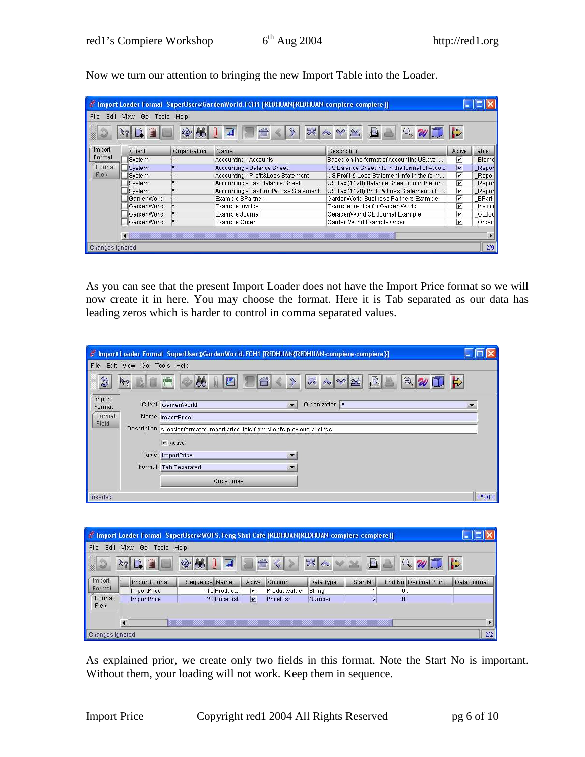Now we turn our attention to bringing the new Import Table into the Loader.

|                 |                                  |              | / Import Loader Format SuperUser@GardenWorld, FCH1 [REDHUAN(REDHUAN-compiere-compiere)] |                                             |                         |               |  |  |  |  |  |  |
|-----------------|----------------------------------|--------------|-----------------------------------------------------------------------------------------|---------------------------------------------|-------------------------|---------------|--|--|--|--|--|--|
| File.           | Edit View<br>Help<br>Go<br>Tools |              |                                                                                         |                                             |                         |               |  |  |  |  |  |  |
|                 | $R_{2}$                          | Ø            | 輔                                                                                       | $\bigoplus$                                 |                         |               |  |  |  |  |  |  |
| Import          | Client                           | Organization | Name                                                                                    | <b>Description</b>                          | Active                  | <b>Table</b>  |  |  |  |  |  |  |
| Format          | System                           |              | Accounting - Accounts                                                                   | Based on the format of AccountingUS.cvs i   | $\mathbf{v}$            | Eleme         |  |  |  |  |  |  |
| Format          | System                           |              | Accounting - Balance Sheet                                                              | US Balance Sheet info in the format of Acco | Z                       | I Report      |  |  |  |  |  |  |
| Field           | System                           |              | Accounting - Profit&Loss Statement                                                      | US Profit & Loss Statement info in the form | $\overline{\mathbf{v}}$ | I Report      |  |  |  |  |  |  |
|                 | System                           |              | Accounting - Tax Balance Sheet                                                          | US Tax (1120) Balance Sheet info in the for | $\overline{\mathbf{v}}$ | I Report      |  |  |  |  |  |  |
|                 | System                           |              | Accounting - Tax Profit&Loss Statement                                                  | US Tax (1120) Profit & Loss Statement info  | $\overline{\mathbf{v}}$ | I Report      |  |  |  |  |  |  |
|                 | GardenWorld                      |              | Example BPartner                                                                        | GardenWorld Business Partners Example       | $\mathbf{v}$            | <b>BPartr</b> |  |  |  |  |  |  |
|                 | GardenWorld                      |              | Example Invoice                                                                         | Example Invoice for Garden World            | $\mathbf{v}$            | Invoice       |  |  |  |  |  |  |
|                 | GardenWorld                      |              | Example Journal                                                                         | GeradenWorld GL Journal Example             | $\overline{\mathbf{v}}$ | I GLJou       |  |  |  |  |  |  |
|                 | GardenWorld                      |              | Example Order                                                                           | Garden World Example Order                  | $\overline{\mathbf{v}}$ | I Order       |  |  |  |  |  |  |
|                 |                                  |              |                                                                                         |                                             |                         |               |  |  |  |  |  |  |
| Changes ignored |                                  |              |                                                                                         |                                             |                         | 2/9           |  |  |  |  |  |  |

As you can see that the present Import Loader does not have the Import Price format so we will now create it in here. You may choose the format. Here it is Tab separated as our data has leading zeros which is harder to control in comma separated values.

|                                     |                      | / Import Loader Format SuperUser@GardenWorld.FCH1 [REDHUAN{REDHUAN-compiere-compiere}]             |               |
|-------------------------------------|----------------------|----------------------------------------------------------------------------------------------------|---------------|
| Eile.                               | Edit View Go         | Tools Help                                                                                         |               |
| $\mathfrak{D}$                      | $R_2$ $\blacksquare$ | $\bigotimes$<br>尽<br>$\Theta$<br><b>IB</b><br>A<br>E<br>$\rightsquigarrow$<br>$\frac{1}{2}$<br>Ô   | $\Rightarrow$ |
| Import<br>Format<br>Format<br>Field |                      | Organization *<br>Client GardenWorld<br>$\overline{\phantom{a}}$<br>Name ImportPrice               |               |
|                                     |                      | Description  A loader format to import price lists from client's previous pricings<br>$\nu$ Active |               |
|                                     |                      | Table ImportPrice                                                                                  |               |
|                                     |                      | Format Tab Separated                                                                               |               |
|                                     |                      | Copy Lines                                                                                         |               |
| Inserted                            |                      |                                                                                                    | $+*3/10$      |

|                 | The Import Loader Format SuperUser@WOFS.Feng Shui Cafe [REDHUAN{REDHUAN-compiere-compiere}] |                    |               |                |                         |              |           |                |   |                      |               |  |  |
|-----------------|---------------------------------------------------------------------------------------------|--------------------|---------------|----------------|-------------------------|--------------|-----------|----------------|---|----------------------|---------------|--|--|
| File<br>Edit    | View<br>Go.<br>Tools<br>Help                                                                |                    |               |                |                         |              |           |                |   |                      |               |  |  |
| D               | $R_{2}$                                                                                     | Û<br>$\frac{1}{2}$ | $\infty$      | $\overline{a}$ | $\bigcap$               |              | 不会        | A<br>Se        |   | $ Q $ $W$            | $\Rightarrow$ |  |  |
| Import          |                                                                                             | Import Format      | Sequence Name |                | Active                  | Column       | Data Type | Start No.      |   | End No Decimal Point | Data Format   |  |  |
| Format          |                                                                                             | ImportPrice        |               | 10 Product.    | $\overline{\mathbf{v}}$ | ProductValue | String    |                |   |                      |               |  |  |
| Format.         |                                                                                             | ImportPrice        |               | 20 PriceList   | M                       | PriceList    | Number    | $\overline{2}$ | 0 |                      |               |  |  |
| Field           |                                                                                             |                    |               |                |                         |              |           |                |   |                      |               |  |  |
|                 |                                                                                             |                    |               |                |                         |              |           |                |   |                      |               |  |  |
| Changes ignored |                                                                                             |                    |               |                |                         |              |           |                |   |                      | 2/2           |  |  |

As explained prior, we create only two fields in this format. Note the Start No is important. Without them, your loading will not work. Keep them in sequence.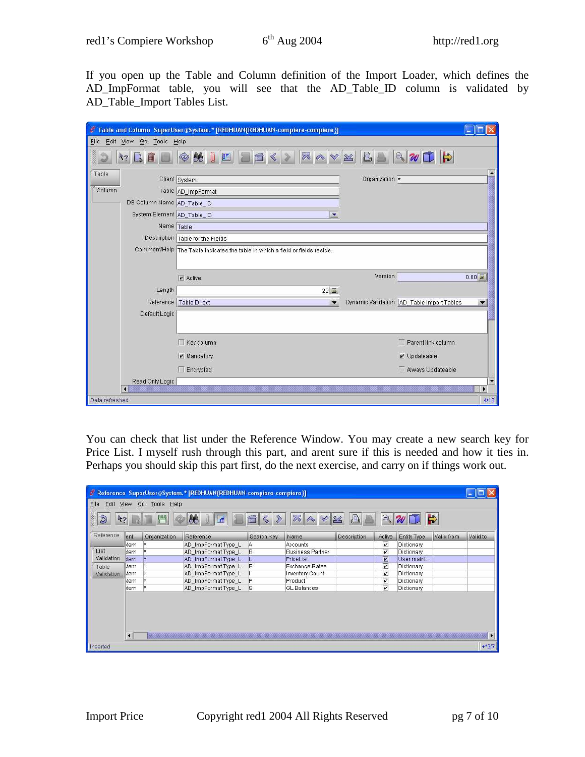If you open up the Table and Column definition of the Import Loader, which defines the AD\_ImpFormat table, you will see that the AD\_Table\_ID column is validated by AD\_Table\_Import Tables List.

|                                 | Table and Column SuperUser@System.* [REDHUAN{REDHUAN-compiere-compiere]]      |                |                                           |                          |
|---------------------------------|-------------------------------------------------------------------------------|----------------|-------------------------------------------|--------------------------|
| Edit View Go Tools Help<br>File |                                                                               |                |                                           |                          |
|                                 | $\vert\bm{\theta}\bm{\theta}\vert$<br>谷<br>P<br>F<br>U                        |                | $\Rightarrow$<br>Q                        |                          |
| Table                           | Client System                                                                 | Organization * |                                           | $\overline{\phantom{0}}$ |
| Column                          | Table AD_ImpFormat                                                            |                |                                           |                          |
| DB Column Name AD_Table_ID      |                                                                               |                |                                           |                          |
| System Element AD_Table_ID      | $\overline{\mathbf{v}}$                                                       |                |                                           |                          |
| Name Table                      |                                                                               |                |                                           |                          |
|                                 | Description Table for the Fields                                              |                |                                           |                          |
|                                 | Comment/Help The Table indicates the table in which a field or fields reside. |                |                                           |                          |
|                                 |                                                                               |                |                                           |                          |
|                                 | $\nu$ Active                                                                  | Version        |                                           | $0.00$ $\frac{1}{20}$    |
| Length                          | $22$ $\overline{2}$                                                           |                |                                           |                          |
| Reference                       | <b>Table Direct</b><br>$\bullet$                                              |                | Dynamic Validation AD_Table Import Tables |                          |
| Default Logic                   |                                                                               |                |                                           |                          |
|                                 |                                                                               |                |                                           |                          |
|                                 | $\Box$ Key column                                                             |                | Parent link column                        |                          |
|                                 | $\triangleright$ Mandatory                                                    |                | $\nu$ Updateable                          |                          |
|                                 | $\Box$ Encrypted                                                              |                | Always Updateable                         |                          |
| Read Only Logic                 |                                                                               |                |                                           | ×                        |
| ∣ю                              |                                                                               |                |                                           | ۲                        |
| Data refreshed                  |                                                                               |                |                                           | 4/13                     |

You can check that list under the Reference Window. You may create a new search key for Price List. I myself rush through this part, and arent sure if this is needed and how it ties in. Perhaps you should skip this part first, do the next exercise, and carry on if things work out.

|                                  | & Reference SuperUser@System.* [REDHUAN{REDHUAN-compiere-compiere}] |              |                     |              |                         |              |                         |             |               |                |  |
|----------------------------------|---------------------------------------------------------------------|--------------|---------------------|--------------|-------------------------|--------------|-------------------------|-------------|---------------|----------------|--|
| Edit View Go Tools Help<br>File. |                                                                     |              |                     |              |                         |              |                         |             |               |                |  |
| $\circledS$<br>$k_2$             |                                                                     | $\Box$       | 86<br>翩             |              | 尽<br>$\rightsquigarrow$ | $\mathbb{Z}$ | $\mathbb{Q}$            |             | $\Rightarrow$ |                |  |
| Reference                        | ent                                                                 | Organization | Reference           | Search Key   | Name                    | Description  | Active                  | Entity Type | Valid from    | Valid to       |  |
|                                  | ltem                                                                |              | AD ImpFormat Type L | A            | Accounts                |              | $\overline{\mathbf{r}}$ | Dictionary  |               |                |  |
| List                             | ltem                                                                |              | AD_ImpFormat Type_L | B            | <b>Business Partner</b> |              | $\overline{\mathbf{v}}$ | Dictionary  |               |                |  |
| Validation                       | tem                                                                 |              | AD_ImpFormat Type_L | IL.          | PriceList               |              | $\overline{\mathbf{v}}$ | User maint  |               |                |  |
| Table                            | Item                                                                |              | AD ImpFormat Type L | E            | Exchange Rates          |              | $\overline{\mathbf{v}}$ | Dictionary  |               |                |  |
| Validation                       | litem                                                               |              | AD ImpFormat Type L |              | Inventory Count         |              | $\overline{\mathbf{v}}$ | Dictionary  |               |                |  |
|                                  | ltem                                                                |              | AD ImpFormat Type L | $\mathsf{P}$ | Product                 |              | $\overline{\mathbf{v}}$ | Dictionary  |               |                |  |
|                                  | ltem                                                                | l*           | AD ImpFormat Type L | 1s           | GL Balances             |              | $\overline{\mathbf{v}}$ | Dictionary  |               |                |  |
|                                  | $\blacksquare$                                                      |              |                     |              |                         |              |                         |             |               | $\blacksquare$ |  |
| Inserted                         |                                                                     |              |                     |              |                         |              |                         |             |               | $+*3/7$        |  |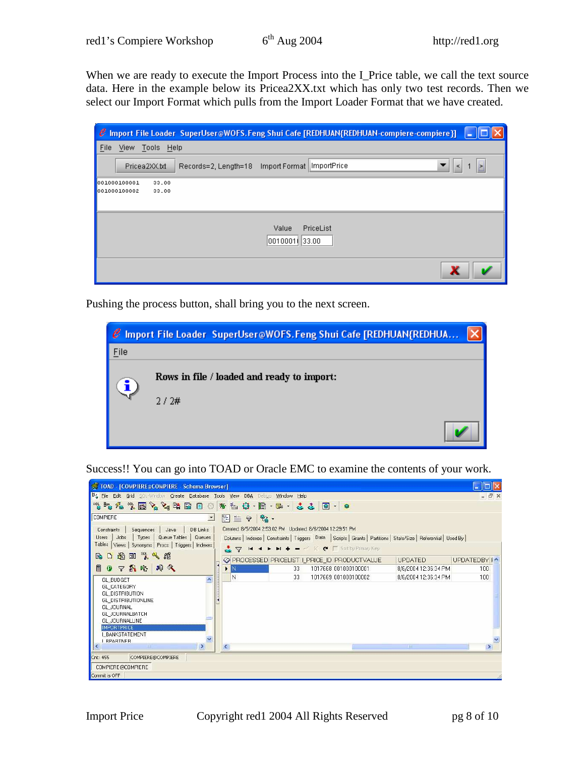When we are ready to execute the Import Process into the I\_Price table, we call the text source data. Here in the example below its Pricea2XX.txt which has only two test records. Then we select our Import Format which pulls from the Import Loader Format that we have created.

|                                                |                                     | $C$ Import File Loader SuperUser@WOFS.Feng Shui Cafe [REDHUAN{REDHUAN-compiere-compiere}] |   |
|------------------------------------------------|-------------------------------------|-------------------------------------------------------------------------------------------|---|
| View Tools Help<br><b>File</b>                 |                                     |                                                                                           |   |
| Pricea2XX.txt                                  |                                     | $\leq$                                                                                    | Þ |
| 001000100001<br>33.00<br>001000100002<br>33.00 |                                     |                                                                                           |   |
|                                                | Value<br>PriceList<br>0010001(33.00 |                                                                                           |   |
|                                                |                                     |                                                                                           |   |

Pushing the process button, shall bring you to the next screen.

|      | C Import File Loader SuperUser@WOFS.Feng Shui Cafe [REDHUAN(REDHUA |  |
|------|--------------------------------------------------------------------|--|
| Eile |                                                                    |  |
|      | Rows in file / loaded and ready to import:<br>2/2#                 |  |
|      |                                                                    |  |
|      |                                                                    |  |

Success!! You can go into TOAD or Oracle EMC to examine the contents of your work.

| TOAD - [COMPIERE @COMPIERE - Schema Browser]                                                                                                                                                             |                                                            |    |  |                                               |                                                                                                                        |              |
|----------------------------------------------------------------------------------------------------------------------------------------------------------------------------------------------------------|------------------------------------------------------------|----|--|-----------------------------------------------|------------------------------------------------------------------------------------------------------------------------|--------------|
| <b>H</b> <sub>u</sub> File<br>Edit Grid SOL-Window Create Database Tools View DBA Debug<br>Window Help                                                                                                   |                                                            |    |  |                                               |                                                                                                                        | - 日 ×        |
| ""をた"問とと「自己のおも事・日・日・」とと同・日                                                                                                                                                                               |                                                            |    |  |                                               |                                                                                                                        |              |
| <b>COMPIERE</b><br>$\vert$                                                                                                                                                                               | $\frac{1}{2}$<br>R<br>圖                                    |    |  |                                               |                                                                                                                        |              |
| DB Links<br>Sequences<br>Java<br>Constraints<br>Types<br>Jobs<br>Queue Tables<br>Users<br>Queues<br>Tables<br>Views Synonyms Procs   Triggers   Indexes                                                  | Created: 8/5/2004 2:53:02 PM Updated: 8/6/2004 12:29:51 PM |    |  | Sort + + + + + < X ← F Sortby Primary Key     | Columns   Indexes   Constraints   Triggers   Data   Scripts   Grants   Partitions   Stats/Size   Referential   Used By |              |
| 图图 头头插<br>R<br>I٦                                                                                                                                                                                        |                                                            |    |  | C PROCESSED PRICELIST I_PRICE_ID PRODUCTVALUE | <b>UPDATED</b>                                                                                                         | UPDATEDBY I^ |
| 下高峰 鸡父<br>n<br>$\bullet$                                                                                                                                                                                 | $\blacktriangleright$ N                                    | 33 |  | 1017668 001000100001                          | 8/6/2004 12:36:34 PM                                                                                                   | 100          |
| $\hat{\phantom{a}}$<br><b>GL BUDGET</b>                                                                                                                                                                  | N                                                          | 33 |  | 1017669 001000100002                          | 8/6/2004 12:36:34 PM                                                                                                   | 100          |
| GL CATEGORY<br><b>GL DISTRIBUTION</b><br>GL DISTRIBUTIONLINE<br><b>GL JOURNAL</b><br>GL JOURNALBATCH<br>GL_JOURNALLINE<br><b>IMPORTPRICE</b><br><b>I BANKSTATEMENT</b><br><b>BPARTNER</b><br><b>TILL</b> |                                                            |    |  |                                               |                                                                                                                        |              |
| $\rightarrow$                                                                                                                                                                                            | K.                                                         |    |  |                                               |                                                                                                                        | $\geq$       |
| Cnt: 455<br>COMPIERE@COMPIERE<br>COMPIERE@COMPIERE<br>Commit is OFF                                                                                                                                      |                                                            |    |  |                                               |                                                                                                                        |              |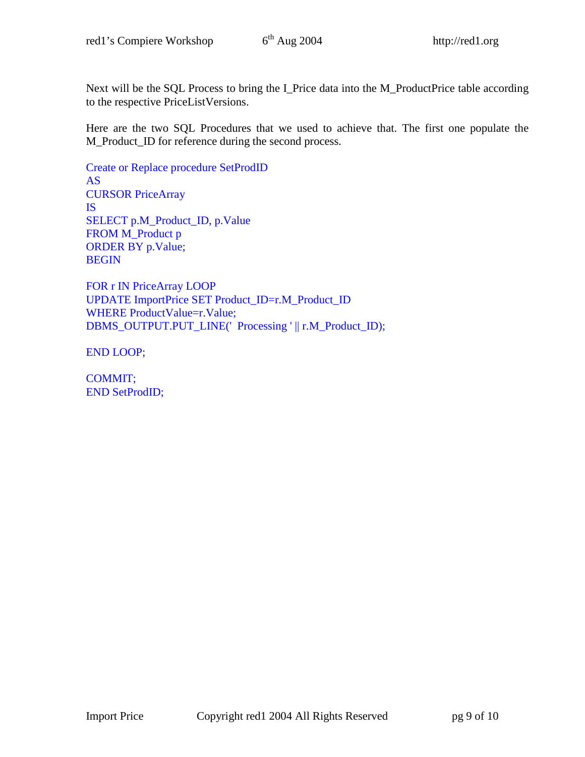Next will be the SQL Process to bring the I\_Price data into the M\_ProductPrice table according to the respective PriceListVersions.

Here are the two SQL Procedures that we used to achieve that. The first one populate the M\_Product\_ID for reference during the second process.

Create or Replace procedure SetProdID AS CURSOR PriceArray IS SELECT p.M\_Product\_ID, p.Value FROM M\_Product p ORDER BY p.Value; BEGIN

FOR r IN PriceArray LOOP UPDATE ImportPrice SET Product\_ID=r.M\_Product\_ID WHERE ProductValue=r.Value; DBMS\_OUTPUT.PUT\_LINE(' Processing ' || r.M\_Product\_ID);

END LOOP;

COMMIT; END SetProdID;